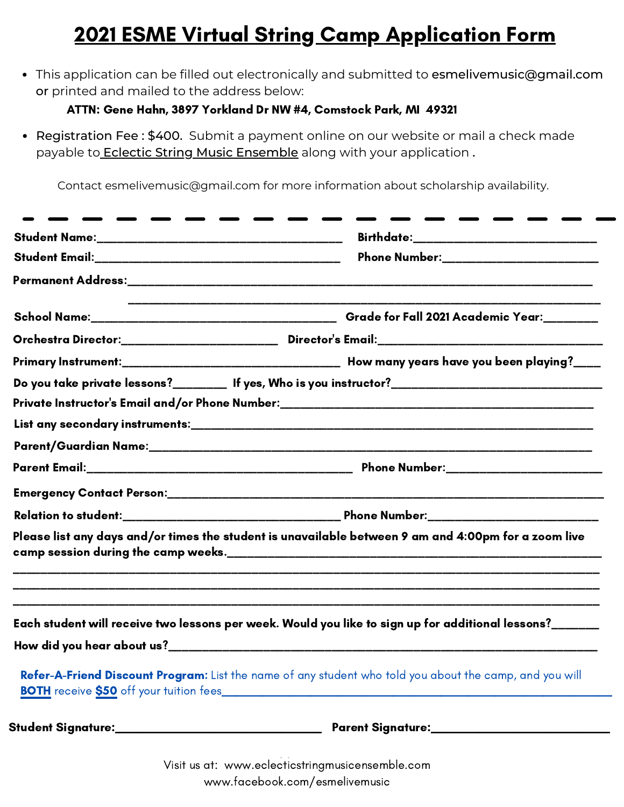## 2021 ESME Virtual String Camp Application Form

This application can be filled out electronically and submitted to esmelivemusic@gmail.com or printed and mailed to the address below:

## ATTN: Gene Hahn, 3897 Yorkland Dr NW #4, Comstock Park, MI 49321

• Registration Fee: \$400. Submit a payment online on our website or mail a check made payable to **Eclectic String Music Ensemble** along with your application.

Contact esmelivemusic@gmail.com for more information about scholarship availability.

| Phone Number:_________________________                                                                                                                                                                             |
|--------------------------------------------------------------------------------------------------------------------------------------------------------------------------------------------------------------------|
|                                                                                                                                                                                                                    |
|                                                                                                                                                                                                                    |
| Orchestra Director:______________________________Director's Email:_________________________________                                                                                                                |
|                                                                                                                                                                                                                    |
| Do you take private lessons?_________ If yes, Who is you instructor?________________________________                                                                                                               |
| Private Instructor's Email and/or Phone Number:__________________________________                                                                                                                                  |
|                                                                                                                                                                                                                    |
|                                                                                                                                                                                                                    |
|                                                                                                                                                                                                                    |
|                                                                                                                                                                                                                    |
|                                                                                                                                                                                                                    |
| Please list any days and/or times the student is unavailable between 9 am and 4:00pm for a zoom live                                                                                                               |
|                                                                                                                                                                                                                    |
|                                                                                                                                                                                                                    |
|                                                                                                                                                                                                                    |
| Each student will receive two lessons per week. Would you like to sign up for additional lessons?______<br>Refer-A-Friend Discount Program: List the name of any student who told you about the camp, and you will |

Visit us at: www.eclecticstringmusicensemble.com [www.facebook.com/esmelivemusic](https://www.facebook.com/esmelivemusic/)